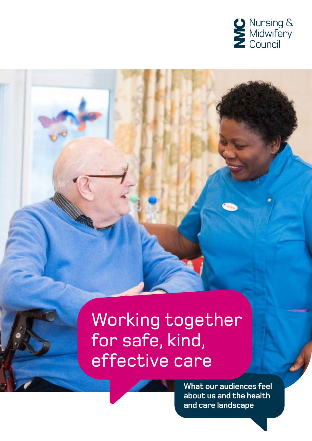

# Working together for safe, kind, effective care

**What our audiences feel about us and the health and care landscape**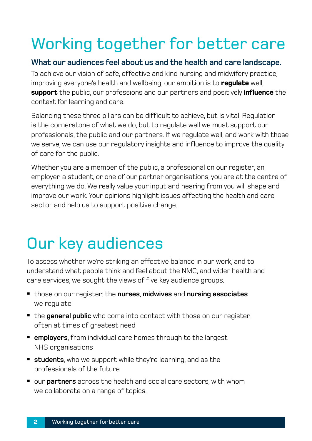## Working together for better care

#### **What our audiences feel about us and the health and care landscape.**

To achieve our vision of safe, effective and kind nursing and midwifery practice, improving everyone's health and wellbeing, our ambition is to **regulate** well, **support** the public, our professions and our partners and positively **influence** the context for learning and care.

Balancing these three pillars can be difficult to achieve, but is vital. Regulation is the cornerstone of what we do, but to regulate well we must support our professionals, the public and our partners. If we regulate well, and work with those we serve, we can use our regulatory insights and influence to improve the quality of care for the public.

Whether you are a member of the public, a professional on our register, an employer, a student, or one of our partner organisations, you are at the centre of everything we do. We really value your input and hearing from you will shape and improve our work. Your opinions highlight issues affecting the health and care sector and help us to support positive change.

### Our key audiences

To assess whether we're striking an effective balance in our work, and to understand what people think and feel about the NMC, and wider health and care services, we sought the views of five key audience groups.

- those on our register: the **nurses**, **midwives** and **nursing associates** we regulate
- the **general public** who come into contact with those on our register, often at times of greatest need
- **employers**, from individual care homes through to the largest NHS organisations
- **students**, who we support while they're learning, and as the professionals of the future
- our **partners** across the health and social care sectors, with whom we collaborate on a range of topics.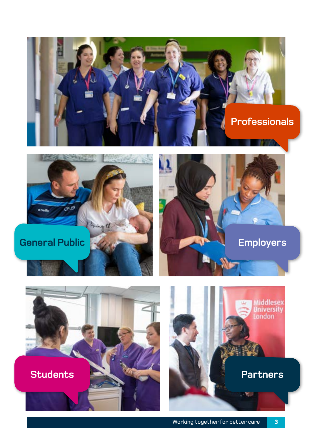







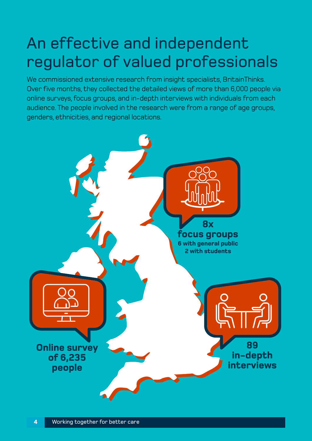#### An effective and independent regulator of valued professionals

We commissioned extensive research from insight specialists, BritainThinks. Over five months, they collected the detailed views of more than 6,000 people via online surveys, focus groups, and in-depth interviews with individuals from each audience. The people involved in the research were from a range of age groups, genders, ethnicities, and regional locations.

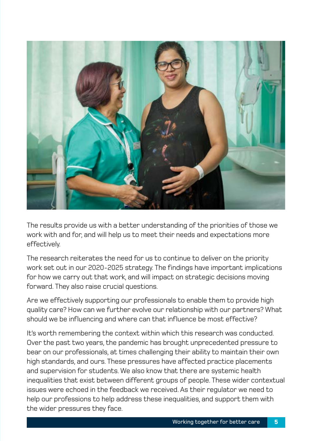

The results provide us with a better understanding of the priorities of those we work with and for, and will help us to meet their needs and expectations more effectively.

The research reiterates the need for us to continue to deliver on the priority work set out in our 2020-2025 strategy. The findings have important implications for how we carry out that work, and will impact on strategic decisions moving forward. They also raise crucial questions.

Are we effectively supporting our professionals to enable them to provide high quality care? How can we further evolve our relationship with our partners? What should we be influencing and where can that influence be most effective?

It's worth remembering the context within which this research was conducted. Over the past two years, the pandemic has brought unprecedented pressure to bear on our professionals, at times challenging their ability to maintain their own high standards, and ours. These pressures have affected practice placements and supervision for students. We also know that there are systemic health inequalities that exist between different groups of people. These wider contextual issues were echoed in the feedback we received. As their regulator we need to help our professions to help address these inequalities, and support them with the wider pressures they face.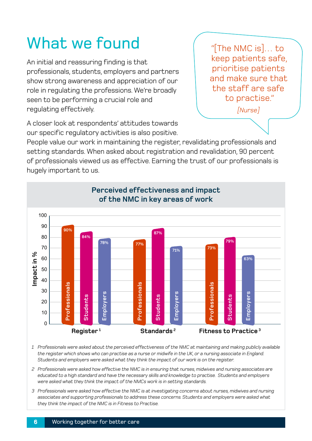## What we found

An initial and reassuring finding is that professionals, students, employers and partners show strong awareness and appreciation of our role in regulating the professions. We're broadly seen to be performing a crucial role and regulating effectively.

"[The NMC is]… to keep patients safe, prioritise patients and make sure that the staff are safe to practise."

*[Nurse]*

A closer look at respondents' attitudes towards our specific regulatory activities is also positive.

People value our work in maintaining the register, revalidating professionals and setting standards. When asked about registration and revalidation, 90 percent of professionals viewed us as effective. Earning the trust of our professionals is hugely important to us.



*1 Professionals were asked about the perceived effectiveness of the NMC at maintaining and making publicly available the register which shows who can practise as a nurse or midwife in the UK, or a nursing associate in England. Students and employers were asked what they think the impact of our work is on the register.* 

- *2 Professionals were asked how effective the NMC is in ensuring that nurses, midwives and nursing associates are educated to a high standard and have the necessary skills and knowledge to practise. Students and employers were asked what they think the impact of the NMCs work is in setting standards.*
- *3 Professionals were asked how effective the NMC is at investigating concerns about nurses, midwives and nursing associates and supporting professionals to address these concerns. Students and employers were asked what they think the impact of the NMC is in Fitness to Practise.*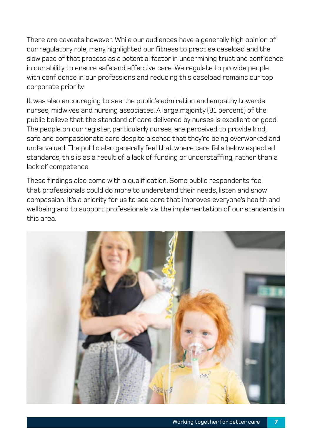There are caveats however. While our audiences have a generally high opinion of our regulatory role, many highlighted our fitness to practise caseload and the slow pace of that process as a potential factor in undermining trust and confidence in our ability to ensure safe and effective care. We regulate to provide people with confidence in our professions and reducing this caseload remains our top corporate priority.

It was also encouraging to see the public's admiration and empathy towards nurses, midwives and nursing associates. A large majority (81 percent) of the public believe that the standard of care delivered by nurses is excellent or good. The people on our register, particularly nurses, are perceived to provide kind, safe and compassionate care despite a sense that they're being overworked and undervalued. The public also generally feel that where care falls below expected standards, this is as a result of a lack of funding or understaffing, rather than a lack of competence.

These findings also come with a qualification. Some public respondents feel that professionals could do more to understand their needs, listen and show compassion. It's a priority for us to see care that improves everyone's health and wellbeing and to support professionals via the implementation of our standards in this area.

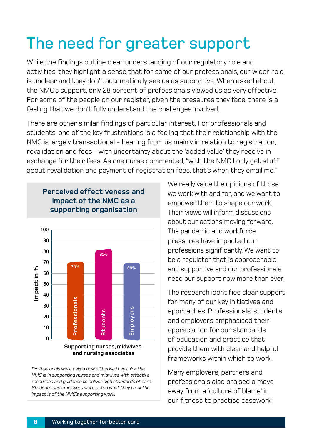## The need for greater support

While the findings outline clear understanding of our regulatory role and activities, they highlight a sense that for some of our professionals, our wider role is unclear and they don't automatically see us as supportive. When asked about the NMC's support, only 28 percent of professionals viewed us as very effective. For some of the people on our register, given the pressures they face, there is a feeling that we don't fully understand the challenges involved.

There are other similar findings of particular interest. For professionals and students, one of the key frustrations is a feeling that their relationship with the NMC is largely transactional - hearing from us mainly in relation to registration, revalidation and fees – with uncertainty about the 'added value' they receive in exchange for their fees. As one nurse commented, "with the NMC I only get stuff about revalidation and payment of registration fees, that's when they email me."



**Perceived effectiveness and** 

*Professionals were asked how effective they think the NMC is in supporting nurses and midwives with effective resources and guidance to deliver high standards of care. Students and employers were asked what they think the impact is of the NMC's supporting work.*

We really value the opinions of those we work with and for, and we want to empower them to shape our work. Their views will inform discussions about our actions moving forward. The pandemic and workforce pressures have impacted our professions significantly. We want to be a regulator that is approachable and supportive and our professionals need our support now more than ever.

The research identifies clear support for many of our key initiatives and approaches. Professionals, students and employers emphasised their appreciation for our standards of education and practice that provide them with clear and helpful frameworks within which to work.

Many employers, partners and professionals also praised a move away from a 'culture of blame' in our fitness to practise casework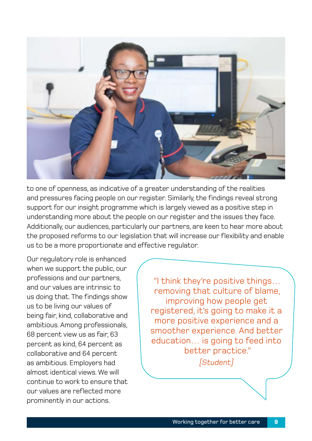

to one of openness, as indicative of a greater understanding of the realities and pressures facing people on our register. Similarly, the findings reveal strong support for our insight programme which is largely viewed as a positive step in understanding more about the people on our register and the issues they face. Additionally, our audiences, particularly our partners, are keen to hear more about the proposed reforms to our legislation that will increase our flexibility and enable us to be a more proportionate and effective regulator.

Our regulatory role is enhanced when we support the public, our professions and our partners, and our values are intrinsic to us doing that. The findings show us to be living our values of being fair, kind, collaborative and ambitious. Among professionals, 68 percent view us as fair, 63 percent as kind, 64 percent as collaborative and 64 percent as ambitious. Employers had almost identical views. We will continue to work to ensure that our values are reflected more prominently in our actions.

"I think they're positive things… removing that culture of blame, improving how people get registered, it's going to make it a more positive experience and a smoother experience. And better education… is going to feed into better practice." *[Student]*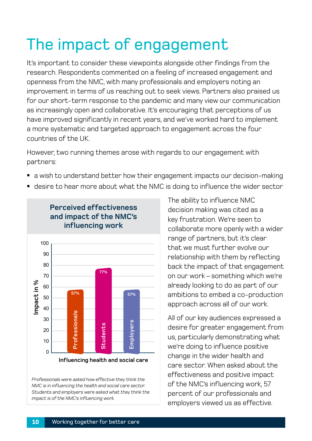# The impact of engagement

It's important to consider these viewpoints alongside other findings from the research. Respondents commented on a feeling of increased engagement and openness from the NMC, with many professionals and employers noting an improvement in terms of us reaching out to seek views. Partners also praised us for our short-term response to the pandemic and many view our communication as increasingly open and collaborative. It's encouraging that perceptions of us have improved significantly in recent years, and we've worked hard to implement a more systematic and targeted approach to engagement across the four countries of the UK.

However, two running themes arose with regards to our engagement with partners:

- a wish to understand better how their engagement impacts our decision-making
- desire to hear more about what the NMC is doing to influence the wider sector



*Professionals were asked how effective they think the NMC is in influencing the health and social care sector. Students and employers were asked what they think the impact is of the NMC's influencing work.* 

The ability to influence NMC decision making was cited as a key frustration. We're seen to collaborate more openly with a wider range of partners, but it's clear that we must further evolve our relationship with them by reflecting back the impact of that engagement on our work – something which we're already looking to do as part of our ambitions to embed a co-production approach across all of our work.

All of our key audiences expressed a desire for greater engagement from us, particularly demonstrating what we're doing to influence positive change in the wider health and care sector. When asked about the effectiveness and positive impact of the NMC's influencing work, 57 percent of our professionals and employers viewed us as effective.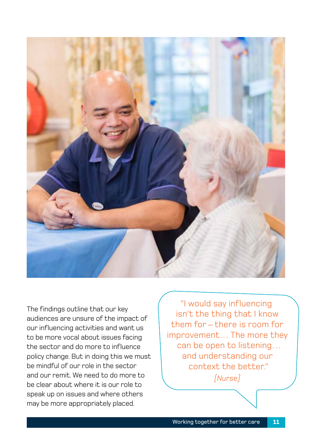

The findings outline that our key audiences are unsure of the impact of our influencing activities and want us to be more vocal about issues facing the sector and do more to influence policy change. But in doing this we must be mindful of our role in the sector and our remit. We need to do more to be clear about where it is our role to speak up on issues and where others may be more appropriately placed.

"I would say influencing isn't the thing that I know them for – there is room for improvement… The more they can be open to listening… and understanding our context the better." *[Nurse]*